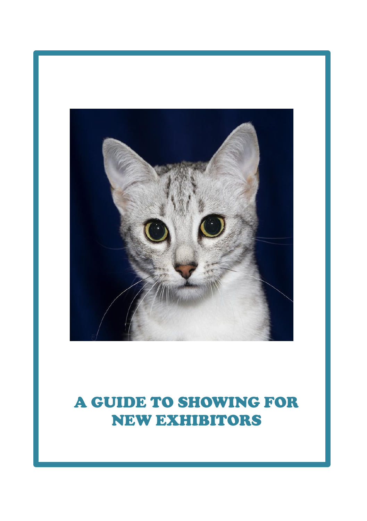

# A GUIDE TO SHOWING FOR NEW EXHIBITORS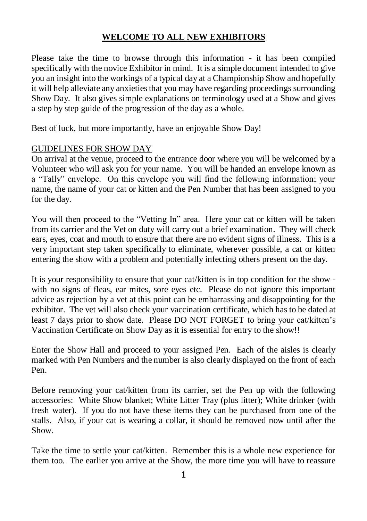## **WELCOME TO ALL NEW EXHIBITORS**

Please take the time to browse through this information - it has been compiled specifically with the novice Exhibitor in mind. It is a simple document intended to give you an insight into the workings of a typical day at a Championship Show and hopefully it will help alleviate any anxieties that you may have regarding proceedings surrounding Show Day. It also gives simple explanations on terminology used at a Show and gives a step by step guide of the progression of the day as a whole.

Best of luck, but more importantly, have an enjoyable Show Day!

## GUIDELINES FOR SHOW DAY

On arrival at the venue, proceed to the entrance door where you will be welcomed by a Volunteer who will ask you for your name. You will be handed an envelope known as a "Tally" envelope. On this envelope you will find the following information; your name, the name of your cat or kitten and the Pen Number that has been assigned to you for the day.

You will then proceed to the "Vetting In" area. Here your cat or kitten will be taken from its carrier and the Vet on duty will carry out a brief examination. They will check ears, eyes, coat and mouth to ensure that there are no evident signs of illness. This is a very important step taken specifically to eliminate, wherever possible, a cat or kitten entering the show with a problem and potentially infecting others present on the day.

It is your responsibility to ensure that your cat/kitten is in top condition for the show with no signs of fleas, ear mites, sore eyes etc. Please do not ignore this important advice as rejection by a vet at this point can be embarrassing and disappointing for the exhibitor. The vet will also check your vaccination certificate, which has to be dated at least 7 days prior to show date. Please DO NOT FORGET to bring your cat/kitten's Vaccination Certificate on Show Day as it is essential for entry to the show!!

Enter the Show Hall and proceed to your assigned Pen. Each of the aisles is clearly marked with Pen Numbers and the number is also clearly displayed on the front of each Pen.

Before removing your cat/kitten from its carrier, set the Pen up with the following accessories: White Show blanket; White Litter Tray (plus litter); White drinker (with fresh water). If you do not have these items they can be purchased from one of the stalls. Also, if your cat is wearing a collar, it should be removed now until after the Show.

Take the time to settle your cat/kitten. Remember this is a whole new experience for them too. The earlier you arrive at the Show, the more time you will have to reassure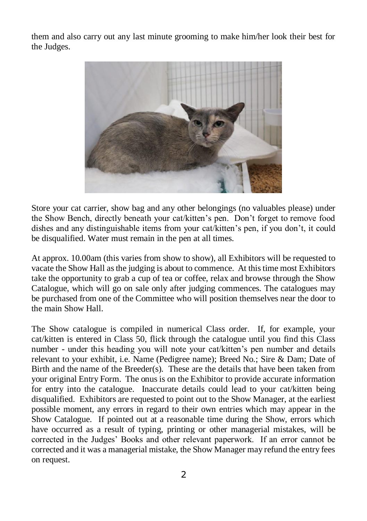them and also carry out any last minute grooming to make him/her look their best for the Judges.



Store your cat carrier, show bag and any other belongings (no valuables please) under the Show Bench, directly beneath your cat/kitten's pen. Don't forget to remove food dishes and any distinguishable items from your cat/kitten's pen, if you don't, it could be disqualified. Water must remain in the pen at all times.

At approx. 10.00am (this varies from show to show), all Exhibitors will be requested to vacate the Show Hall as the judging is about to commence. At this time most Exhibitors take the opportunity to grab a cup of tea or coffee, relax and browse through the Show Catalogue, which will go on sale only after judging commences. The catalogues may be purchased from one of the Committee who will position themselves near the door to the main Show Hall.

The Show catalogue is compiled in numerical Class order. If, for example, your cat/kitten is entered in Class 50, flick through the catalogue until you find this Class number - under this heading you will note your cat/kitten's pen number and details relevant to your exhibit, i.e. Name (Pedigree name); Breed No.; Sire & Dam; Date of Birth and the name of the Breeder $(s)$ . These are the details that have been taken from your original Entry Form. The onus is on the Exhibitor to provide accurate information for entry into the catalogue. Inaccurate details could lead to your cat/kitten being disqualified. Exhibitors are requested to point out to the Show Manager, at the earliest possible moment, any errors in regard to their own entries which may appear in the Show Catalogue. If pointed out at a reasonable time during the Show, errors which have occurred as a result of typing, printing or other managerial mistakes, will be corrected in the Judges' Books and other relevant paperwork. If an error cannot be corrected and it was a managerial mistake, the Show Manager may refund the entry fees on request.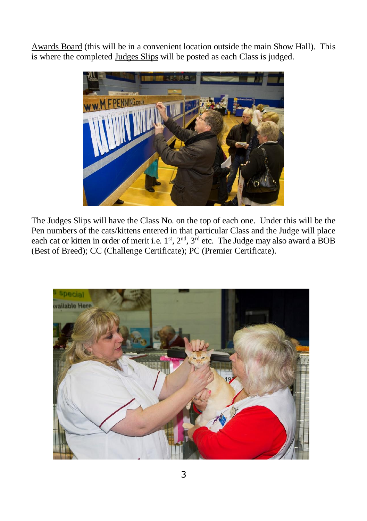Awards Board (this will be in a convenient location outside the main Show Hall). This is where the completed Judges Slips will be posted as each Class is judged.



The Judges Slips will have the Class No. on the top of each one. Under this will be the Pen numbers of the cats/kittens entered in that particular Class and the Judge will place each cat or kitten in order of merit i.e.  $1^{st}$ ,  $2^{nd}$ ,  $3^{rd}$  etc. The Judge may also award a BOB (Best of Breed); CC (Challenge Certificate); PC (Premier Certificate).

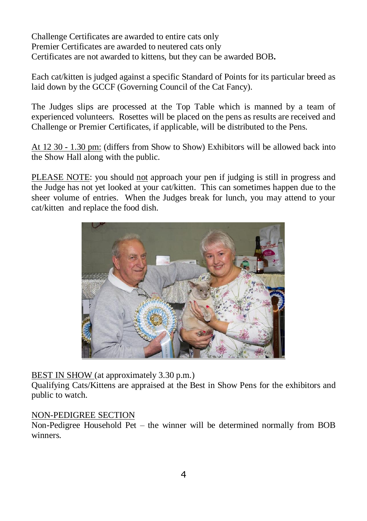Challenge Certificates are awarded to entire cats only Premier Certificates are awarded to neutered cats only Certificates are not awarded to kittens, but they can be awarded BOB**.**

Each cat/kitten is judged against a specific Standard of Points for its particular breed as laid down by the GCCF (Governing Council of the Cat Fancy).

The Judges slips are processed at the Top Table which is manned by a team of experienced volunteers. Rosettes will be placed on the pens as results are received and Challenge or Premier Certificates, if applicable, will be distributed to the Pens.

At 12 30 - 1.30 pm: (differs from Show to Show) Exhibitors will be allowed back into the Show Hall along with the public.

PLEASE NOTE: you should not approach your pen if judging is still in progress and the Judge has not yet looked at your cat/kitten. This can sometimes happen due to the sheer volume of entries. When the Judges break for lunch, you may attend to your cat/kitten and replace the food dish.



BEST IN SHOW (at approximately 3.30 p.m.)

Qualifying Cats/Kittens are appraised at the Best in Show Pens for the exhibitors and public to watch.

#### NON-PEDIGREE SECTION

Non-Pedigree Household Pet – the winner will be determined normally from BOB winners.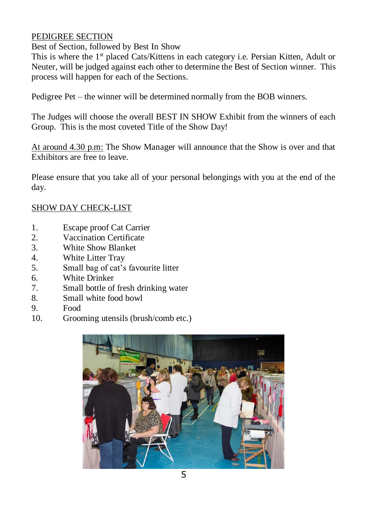### PEDIGREE SECTION

Best of Section, followed by Best In Show

This is where the 1<sup>st</sup> placed Cats/Kittens in each category i.e. Persian Kitten, Adult or Neuter, will be judged against each other to determine the Best of Section winner. This process will happen for each of the Sections.

Pedigree Pet – the winner will be determined normally from the BOB winners.

The Judges will choose the overall BEST IN SHOW Exhibit from the winners of each Group. This is the most coveted Title of the Show Day!

At around 4.30 p.m: The Show Manager will announce that the Show is over and that Exhibitors are free to leave.

Please ensure that you take all of your personal belongings with you at the end of the day.

## SHOW DAY CHECK-LIST

- 1. Escape proof Cat Carrier
- 2. Vaccination Certificate
- 3. White Show Blanket
- 4. White Litter Tray
- 5. Small bag of cat's favourite litter
- 6. White Drinker
- 7. Small bottle of fresh drinking water
- 8. Small white food bowl
- 9. Food
- 10. Grooming utensils (brush/comb etc.)

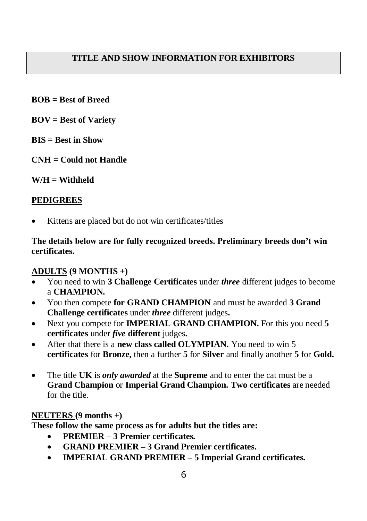## **TITLE AND SHOW INFORMATION FOR EXHIBITORS**

- **BOB = Best of Breed**
- **BOV = Best of Variety**
- **BIS = Best in Show**
- **CNH = Could not Handle**
- **W/H = Withheld**

#### **PEDIGREES**

Kittens are placed but do not win certificates/titles

#### **The details below are for fully recognized breeds. Preliminary breeds don't win certificates.**

#### **ADULTS (9 MONTHS +)**

- You need to win **3 Challenge Certificates** under *three* different judges to become a **CHAMPION.**
- You then compete **for GRAND CHAMPION** and must be awarded **3 Grand Challenge certificates** under *three* different judges**.**
- Next you compete for **IMPERIAL GRAND CHAMPION.** For this you need **5 certificates** under *five* **different** judges**.**
- After that there is a **new class called OLYMPIAN.** You need to win 5 **certificates** for **Bronze,** then a further **5** for **Silver** and finally another **5** for **Gold.**
- The title **UK** is *only awarded* at the **Supreme** and to enter the cat must be a **Grand Champion** or **Imperial Grand Champion. Two certificates** are needed for the title.

#### **NEUTERS (9 months +)**

**These follow the same process as for adults but the titles are:**

- **PREMIER – 3 Premier certificates.**
- **GRAND PREMIER – 3 Grand Premier certificates.**
- **IMPERIAL GRAND PREMIER – 5 Imperial Grand certificates.**